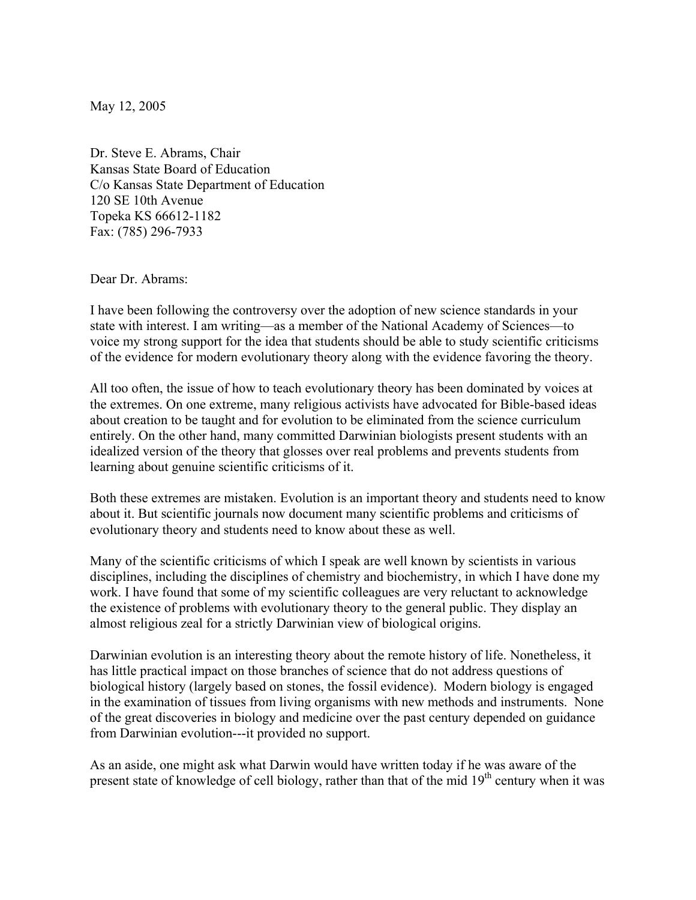May 12, 2005

Dr. Steve E. Abrams, Chair Kansas State Board of Education C/o Kansas State Department of Education 120 SE 10th Avenue Topeka KS 66612-1182 Fax: (785) 296-7933

Dear Dr. Abrams:

I have been following the controversy over the adoption of new science standards in your state with interest. I am writing—as a member of the National Academy of Sciences—to voice my strong support for the idea that students should be able to study scientific criticisms of the evidence for modern evolutionary theory along with the evidence favoring the theory.

All too often, the issue of how to teach evolutionary theory has been dominated by voices at the extremes. On one extreme, many religious activists have advocated for Bible-based ideas about creation to be taught and for evolution to be eliminated from the science curriculum entirely. On the other hand, many committed Darwinian biologists present students with an idealized version of the theory that glosses over real problems and prevents students from learning about genuine scientific criticisms of it.

Both these extremes are mistaken. Evolution is an important theory and students need to know about it. But scientific journals now document many scientific problems and criticisms of evolutionary theory and students need to know about these as well.

Many of the scientific criticisms of which I speak are well known by scientists in various disciplines, including the disciplines of chemistry and biochemistry, in which I have done my work. I have found that some of my scientific colleagues are very reluctant to acknowledge the existence of problems with evolutionary theory to the general public. They display an almost religious zeal for a strictly Darwinian view of biological origins.

Darwinian evolution is an interesting theory about the remote history of life. Nonetheless, it has little practical impact on those branches of science that do not address questions of biological history (largely based on stones, the fossil evidence). Modern biology is engaged in the examination of tissues from living organisms with new methods and instruments. None of the great discoveries in biology and medicine over the past century depended on guidance from Darwinian evolution---it provided no support.

As an aside, one might ask what Darwin would have written today if he was aware of the present state of knowledge of cell biology, rather than that of the mid 19<sup>th</sup> century when it was